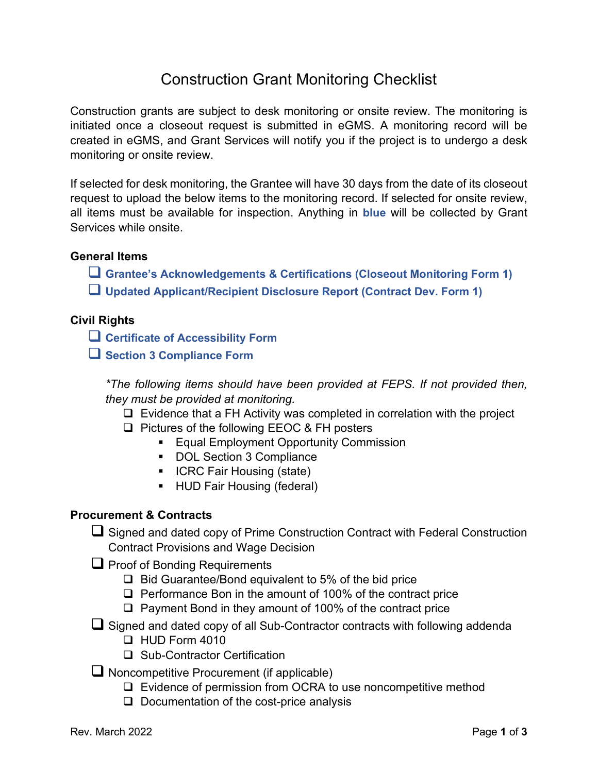# Construction Grant Monitoring Checklist

Construction grants are subject to desk monitoring or onsite review. The monitoring is initiated once a closeout request is submitted in eGMS. A monitoring record will be created in eGMS, and Grant Services will notify you if the project is to undergo a desk monitoring or onsite review.

If selected for desk monitoring, the Grantee will have 30 days from the date of its closeout request to upload the below items to the monitoring record. If selected for onsite review, all items must be available for inspection. Anything in **blue** will be collected by Grant Services while onsite.

# **General Items**

- **Grantee's Acknowledgements & Certifications (Closeout Monitoring Form 1)**
- **Updated Applicant/Recipient Disclosure Report (Contract Dev. Form 1)**

# **Civil Rights**

- **Certificate of Accessibility Form**
- **Section 3 Compliance Form**

*\*The following items should have been provided at FEPS. If not provided then, they must be provided at monitoring.*

- $\Box$  Evidence that a FH Activity was completed in correlation with the project
- □ Pictures of the following EEOC & FH posters
	- **Equal Employment Opportunity Commission**
	- DOL Section 3 Compliance
	- ICRC Fair Housing (state)
	- **HUD Fair Housing (federal)**

# **Procurement & Contracts**

- $\Box$  Signed and dated copy of Prime Construction Contract with Federal Construction Contract Provisions and Wage Decision
- $\Box$  Proof of Bonding Requirements
	- $\Box$  Bid Guarantee/Bond equivalent to 5% of the bid price
	- $\Box$  Performance Bon in the amount of 100% of the contract price
	- $\Box$  Payment Bond in they amount of 100% of the contract price
- Signed and dated copy of all Sub-Contractor contracts with following addenda
	- $\Box$  HUD Form 4010
	- □ Sub-Contractor Certification
- $\Box$  Noncompetitive Procurement (if applicable)
	- □ Evidence of permission from OCRA to use noncompetitive method
	- $\Box$  Documentation of the cost-price analysis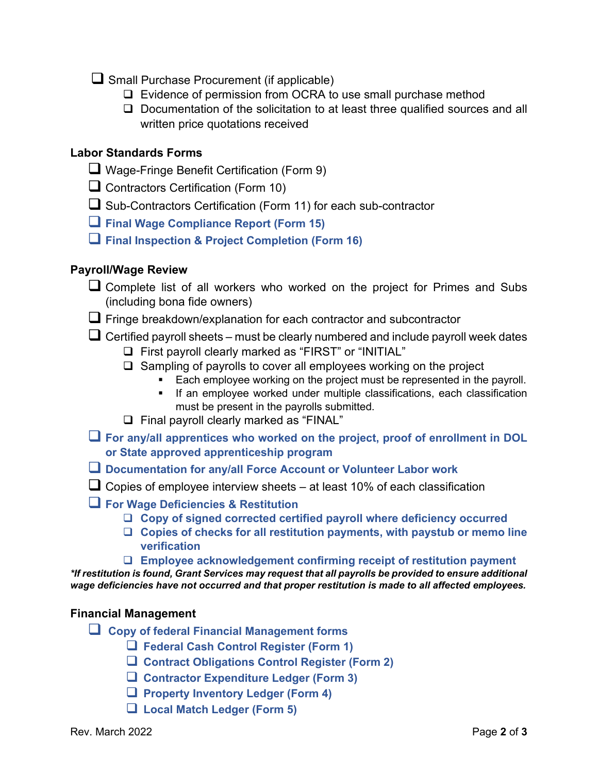- Small Purchase Procurement (if applicable)
	- □ Evidence of permission from OCRA to use small purchase method
	- $\Box$  Documentation of the solicitation to at least three qualified sources and all written price quotations received

#### **Labor Standards Forms**

- Wage-Fringe Benefit Certification (Form 9)
- $\Box$  Contractors Certification (Form 10)
- $\Box$  Sub-Contractors Certification (Form 11) for each sub-contractor
- **Final Wage Compliance Report (Form 15)**
- **Final Inspection & Project Completion (Form 16)**

#### **Payroll/Wage Review**

- Complete list of all workers who worked on the project for Primes and Subs (including bona fide owners)
- $\Box$  Fringe breakdown/explanation for each contractor and subcontractor

 $\Box$  Certified payroll sheets – must be clearly numbered and include payroll week dates

- □ First payroll clearly marked as "FIRST" or "INITIAL"
- $\Box$  Sampling of payrolls to cover all employees working on the project
	- Each employee working on the project must be represented in the payroll.
	- **If an employee worked under multiple classifications, each classification** must be present in the payrolls submitted.
- Final payroll clearly marked as "FINAL"
- **For any/all apprentices who worked on the project, proof of enrollment in DOL or State approved apprenticeship program**
- **Documentation for any/all Force Account or Volunteer Labor work**
- $\Box$  Copies of employee interview sheets at least 10% of each classification
- **For Wage Deficiencies & Restitution**
	- **Copy of signed corrected certified payroll where deficiency occurred**
	- **Copies of checks for all restitution payments, with paystub or memo line verification**
	- **Employee acknowledgement confirming receipt of restitution payment**

*\*If restitution is found, Grant Services may request that all payrolls be provided to ensure additional wage deficiencies have not occurred and that proper restitution is made to all affected employees.* 

#### **Financial Management**

- **Copy of federal Financial Management forms**
	- **Federal Cash Control Register (Form 1)**
	- **Contract Obligations Control Register (Form 2)**
	- **Contractor Expenditure Ledger (Form 3)**
	- **Property Inventory Ledger (Form 4)**
	- **Local Match Ledger (Form 5)**